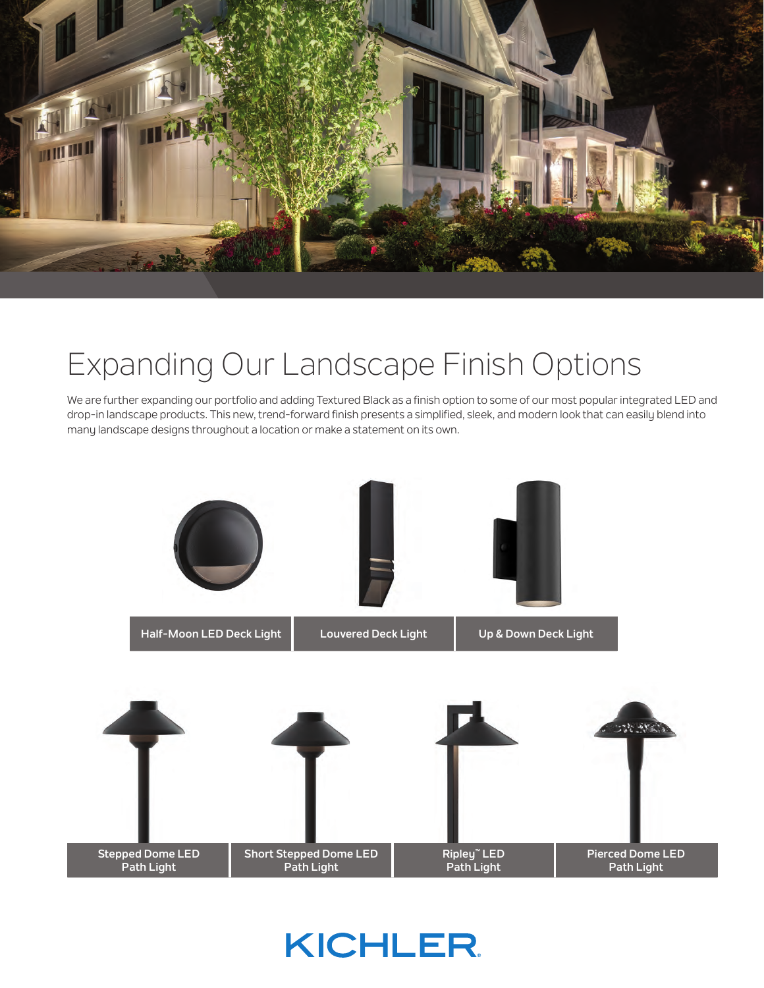

## Expanding Our Landscape Finish Options

We are further expanding our portfolio and adding Textured Black as a finish option to some of our most popular integrated LED and drop-in landscape products. This new, trend-forward finish presents a simplified, sleek, and modern look that can easily blend into many landscape designs throughout a location or make a statement on its own.



**KICHLER**